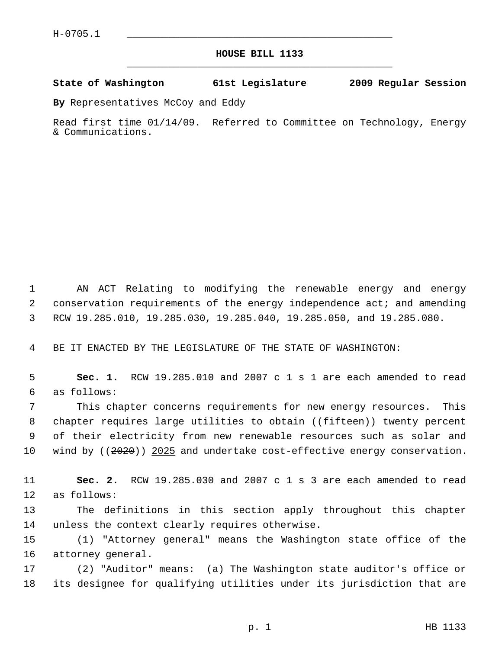## **HOUSE BILL 1133** \_\_\_\_\_\_\_\_\_\_\_\_\_\_\_\_\_\_\_\_\_\_\_\_\_\_\_\_\_\_\_\_\_\_\_\_\_\_\_\_\_\_\_\_\_

## **State of Washington 61st Legislature 2009 Regular Session**

**By** Representatives McCoy and Eddy

Read first time 01/14/09. Referred to Committee on Technology, Energy & Communications.

 1 AN ACT Relating to modifying the renewable energy and energy 2 conservation requirements of the energy independence act; and amending 3 RCW 19.285.010, 19.285.030, 19.285.040, 19.285.050, and 19.285.080.

4 BE IT ENACTED BY THE LEGISLATURE OF THE STATE OF WASHINGTON:

 5 **Sec. 1.** RCW 19.285.010 and 2007 c 1 s 1 are each amended to read 6 as follows:

 7 This chapter concerns requirements for new energy resources. This 8 chapter requires large utilities to obtain ((<del>fifteen</del>)) twenty percent 9 of their electricity from new renewable resources such as solar and 10 wind by ((2020)) 2025 and undertake cost-effective energy conservation.

11 **Sec. 2.** RCW 19.285.030 and 2007 c 1 s 3 are each amended to read 12 as follows:

13 The definitions in this section apply throughout this chapter 14 unless the context clearly requires otherwise.

15 (1) "Attorney general" means the Washington state office of the 16 attorney general.

17 (2) "Auditor" means: (a) The Washington state auditor's office or 18 its designee for qualifying utilities under its jurisdiction that are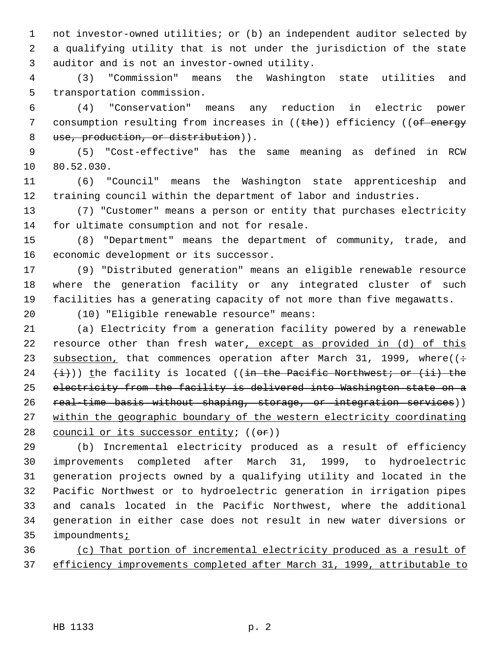1 not investor-owned utilities; or (b) an independent auditor selected by 2 a qualifying utility that is not under the jurisdiction of the state 3 auditor and is not an investor-owned utility.

 4 (3) "Commission" means the Washington state utilities and 5 transportation commission.

 6 (4) "Conservation" means any reduction in electric power 7 consumption resulting from increases in ((the)) efficiency ((of energy 8 use, production, or distribution)).

 9 (5) "Cost-effective" has the same meaning as defined in RCW 10 80.52.030.

11 (6) "Council" means the Washington state apprenticeship and 12 training council within the department of labor and industries.

13 (7) "Customer" means a person or entity that purchases electricity 14 for ultimate consumption and not for resale.

15 (8) "Department" means the department of community, trade, and 16 economic development or its successor.

17 (9) "Distributed generation" means an eligible renewable resource 18 where the generation facility or any integrated cluster of such 19 facilities has a generating capacity of not more than five megawatts.

20 (10) "Eligible renewable resource" means:

21 (a) Electricity from a generation facility powered by a renewable 22 resource other than fresh water, except as provided in (d) of this 23 subsection, that commences operation after March 31, 1999, where( $($ : 24  $(\pm)$ )) the facility is located (( $\pm$ n the Pacific Northwest; or ( $\pm$ i) the 25 electricity from the facility is delivered into Washington state on a 26 real-time basis without shaping, storage, or integration services)) 27 within the geographic boundary of the western electricity coordinating 28 council or its successor entity; ((or))

29 (b) Incremental electricity produced as a result of efficiency 30 improvements completed after March 31, 1999, to hydroelectric 31 generation projects owned by a qualifying utility and located in the 32 Pacific Northwest or to hydroelectric generation in irrigation pipes 33 and canals located in the Pacific Northwest, where the additional 34 generation in either case does not result in new water diversions or 35 impoundments<sub>i</sub>

36 (c) That portion of incremental electricity produced as a result of 37 efficiency improvements completed after March 31, 1999, attributable to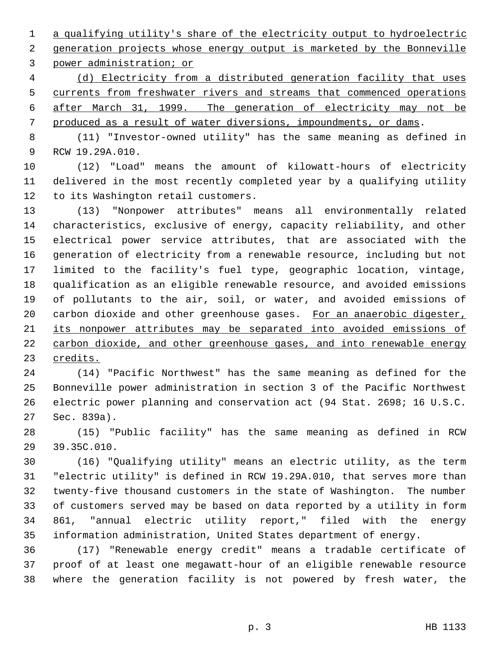1 a qualifying utility's share of the electricity output to hydroelectric 2 generation projects whose energy output is marketed by the Bonneville 3 power administration; or

 (d) Electricity from a distributed generation facility that uses currents from freshwater rivers and streams that commenced operations after March 31, 1999. The generation of electricity may not be produced as a result of water diversions, impoundments, or dams.

 8 (11) "Investor-owned utility" has the same meaning as defined in 9 RCW 19.29A.010.

10 (12) "Load" means the amount of kilowatt-hours of electricity 11 delivered in the most recently completed year by a qualifying utility 12 to its Washington retail customers.

13 (13) "Nonpower attributes" means all environmentally related 14 characteristics, exclusive of energy, capacity reliability, and other 15 electrical power service attributes, that are associated with the 16 generation of electricity from a renewable resource, including but not 17 limited to the facility's fuel type, geographic location, vintage, 18 qualification as an eligible renewable resource, and avoided emissions 19 of pollutants to the air, soil, or water, and avoided emissions of 20 carbon dioxide and other greenhouse gases. For an anaerobic digester, 21 its nonpower attributes may be separated into avoided emissions of 22 carbon dioxide, and other greenhouse gases, and into renewable energy 23 credits.

24 (14) "Pacific Northwest" has the same meaning as defined for the 25 Bonneville power administration in section 3 of the Pacific Northwest 26 electric power planning and conservation act (94 Stat. 2698; 16 U.S.C. 27 Sec. 839a).

28 (15) "Public facility" has the same meaning as defined in RCW 29 39.35C.010.

30 (16) "Qualifying utility" means an electric utility, as the term 31 "electric utility" is defined in RCW 19.29A.010, that serves more than 32 twenty-five thousand customers in the state of Washington. The number 33 of customers served may be based on data reported by a utility in form 34 861, "annual electric utility report," filed with the energy 35 information administration, United States department of energy.

36 (17) "Renewable energy credit" means a tradable certificate of 37 proof of at least one megawatt-hour of an eligible renewable resource 38 where the generation facility is not powered by fresh water, the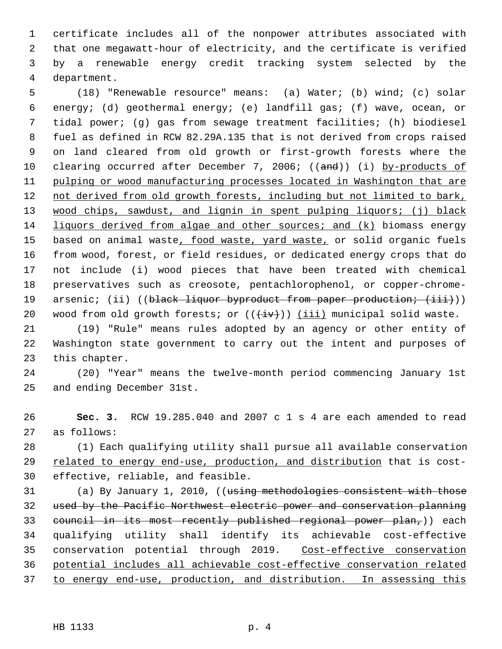1 certificate includes all of the nonpower attributes associated with 2 that one megawatt-hour of electricity, and the certificate is verified 3 by a renewable energy credit tracking system selected by the 4 department.

 5 (18) "Renewable resource" means: (a) Water; (b) wind; (c) solar 6 energy; (d) geothermal energy; (e) landfill gas; (f) wave, ocean, or 7 tidal power; (g) gas from sewage treatment facilities; (h) biodiesel 8 fuel as defined in RCW 82.29A.135 that is not derived from crops raised 9 on land cleared from old growth or first-growth forests where the 10 clearing occurred after December 7, 2006; ((and)) (i) by-products of 11 pulping or wood manufacturing processes located in Washington that are 12 not derived from old growth forests, including but not limited to bark, 13 wood chips, sawdust, and lignin in spent pulping liquors; (j) black 14 liquors derived from algae and other sources; and (k) biomass energy 15 based on animal waste, food waste, yard waste, or solid organic fuels 16 from wood, forest, or field residues, or dedicated energy crops that do 17 not include (i) wood pieces that have been treated with chemical 18 preservatives such as creosote, pentachlorophenol, or copper-chrome-19 arsenic; (ii) ((black liquor byproduct from paper production; (iii))) 20 wood from old growth forests; or  $((\overleftrightarrow{iv}))$  (iii) municipal solid waste.

21 (19) "Rule" means rules adopted by an agency or other entity of 22 Washington state government to carry out the intent and purposes of 23 this chapter.

24 (20) "Year" means the twelve-month period commencing January 1st 25 and ending December 31st.

26 **Sec. 3.** RCW 19.285.040 and 2007 c 1 s 4 are each amended to read 27 as follows:

28 (1) Each qualifying utility shall pursue all available conservation 29 related to energy end-use, production, and distribution that is cost-30 effective, reliable, and feasible.

31 (a) By January 1, 2010, ((using methodologies consistent with those 32 used by the Pacific Northwest electric power and conservation planning 33 council in its most recently published regional power plan,)) each 34 qualifying utility shall identify its achievable cost-effective 35 conservation potential through 2019. Cost-effective conservation 36 potential includes all achievable cost-effective conservation related 37 to energy end-use, production, and distribution. In assessing this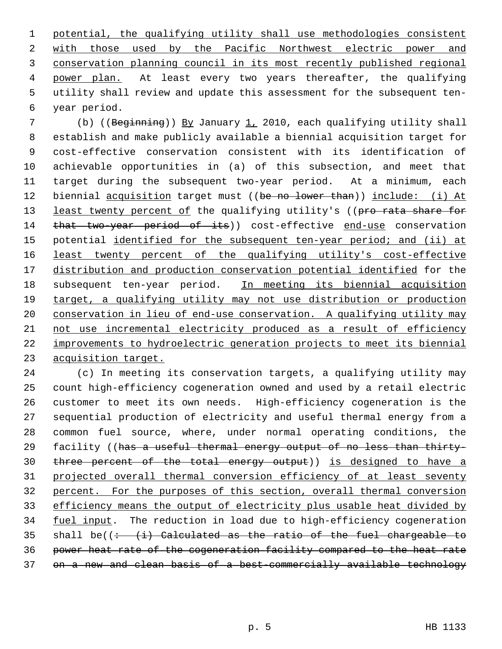potential, the qualifying utility shall use methodologies consistent with those used by the Pacific Northwest electric power and conservation planning council in its most recently published regional power plan. At least every two years thereafter, the qualifying 5 utility shall review and update this assessment for the subsequent ten- 6 year period.

 7 (b) ((Beginning)) By January 1, 2010, each qualifying utility shall 8 establish and make publicly available a biennial acquisition target for 9 cost-effective conservation consistent with its identification of 10 achievable opportunities in (a) of this subsection, and meet that 11 target during the subsequent two-year period. At a minimum, each 12 biennial acquisition target must ((be no lower than)) include: (i) At 13 least twenty percent of the qualifying utility's ((pro rata share for 14 that two-year period of its)) cost-effective end-use conservation 15 potential identified for the subsequent ten-year period; and (ii) at 16 least twenty percent of the qualifying utility's cost-effective 17 distribution and production conservation potential identified for the 18 subsequent ten-year period. In meeting its biennial acquisition 19 target, a qualifying utility may not use distribution or production 20 conservation in lieu of end-use conservation. A qualifying utility may 21 not use incremental electricity produced as a result of efficiency 22 improvements to hydroelectric generation projects to meet its biennial 23 acquisition target.

24 (c) In meeting its conservation targets, a qualifying utility may 25 count high-efficiency cogeneration owned and used by a retail electric 26 customer to meet its own needs. High-efficiency cogeneration is the 27 sequential production of electricity and useful thermal energy from a 28 common fuel source, where, under normal operating conditions, the 29 facility ((has a useful thermal energy output of no less than thirty-30 three percent of the total energy output)) is designed to have a 31 projected overall thermal conversion efficiency of at least seventy 32 percent. For the purposes of this section, overall thermal conversion 33 efficiency means the output of electricity plus usable heat divided by 34 fuel input. The reduction in load due to high-efficiency cogeneration 35 shall be( $( $\div$  + ( $\pm$ ) Calculateed as the ratio of the fuel chargeable to$ 36 power heat rate of the cogeneration facility compared to the heat rate 37 on a new and clean basis of a best-commercially available technology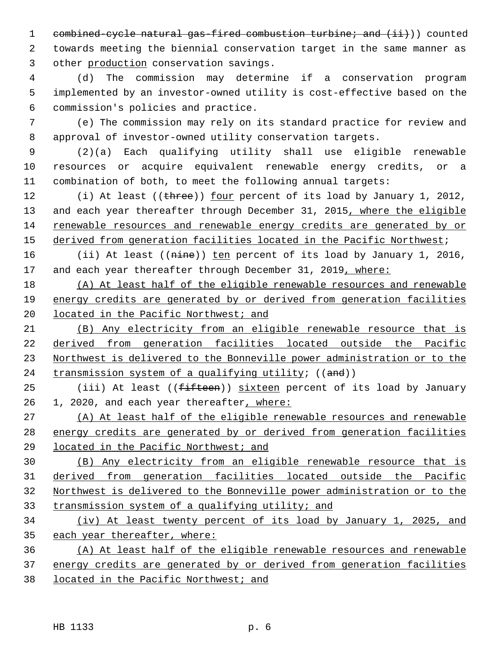1 combined-cycle natural gas-fired combustion turbine; and (ii)) counted 2 towards meeting the biennial conservation target in the same manner as 3 other production conservation savings.

 4 (d) The commission may determine if a conservation program 5 implemented by an investor-owned utility is cost-effective based on the 6 commission's policies and practice.

 7 (e) The commission may rely on its standard practice for review and 8 approval of investor-owned utility conservation targets.

 9 (2)(a) Each qualifying utility shall use eligible renewable 10 resources or acquire equivalent renewable energy credits, or a 11 combination of both, to meet the following annual targets:

12 (i) At least ((three)) four percent of its load by January 1, 2012, 13 and each year thereafter through December 31, 2015, where the eligible 14 renewable resources and renewable energy credits are generated by or 15 derived from generation facilities located in the Pacific Northwest;

16 (ii) At least ((nine)) ten percent of its load by January 1, 2016, 17 and each year thereafter through December 31, 2019, where:

18 (A) At least half of the eligible renewable resources and renewable 19 energy credits are generated by or derived from generation facilities 20 located in the Pacific Northwest; and

 (B) Any electricity from an eligible renewable resource that is derived from generation facilities located outside the Pacific Northwest is delivered to the Bonneville power administration or to the 24 transmission system of a qualifying utility;  $((and))$ 

25 (iii) At least ((<del>fifteen</del>)) sixteen percent of its load by January 26 1, 2020, and each year thereafter, where:

27 (A) At least half of the eligible renewable resources and renewable 28 energy credits are generated by or derived from generation facilities 29 located in the Pacific Northwest; and

 (B) Any electricity from an eligible renewable resource that is derived from generation facilities located outside the Pacific Northwest is delivered to the Bonneville power administration or to the transmission system of a qualifying utility; and

34 (iv) At least twenty percent of its load by January 1, 2025, and 35 each year thereafter, where:

36 (A) At least half of the eligible renewable resources and renewable 37 energy credits are generated by or derived from generation facilities 38 located in the Pacific Northwest; and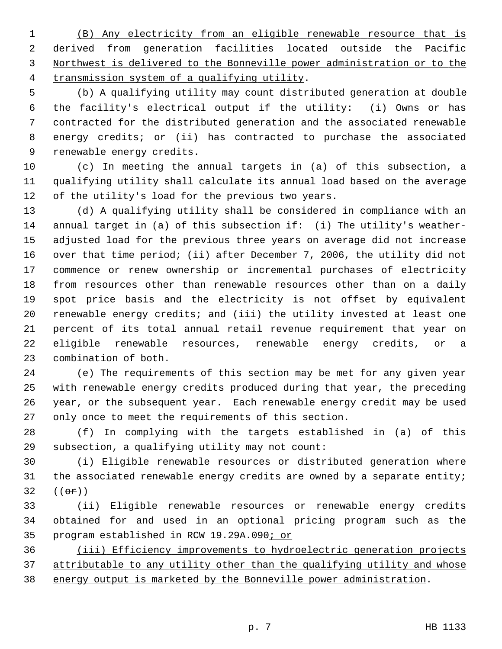(B) Any electricity from an eligible renewable resource that is derived from generation facilities located outside the Pacific Northwest is delivered to the Bonneville power administration or to the transmission system of a qualifying utility.

 5 (b) A qualifying utility may count distributed generation at double 6 the facility's electrical output if the utility: (i) Owns or has 7 contracted for the distributed generation and the associated renewable 8 energy credits; or (ii) has contracted to purchase the associated 9 renewable energy credits.

10 (c) In meeting the annual targets in (a) of this subsection, a 11 qualifying utility shall calculate its annual load based on the average 12 of the utility's load for the previous two years.

13 (d) A qualifying utility shall be considered in compliance with an 14 annual target in (a) of this subsection if: (i) The utility's weather-15 adjusted load for the previous three years on average did not increase 16 over that time period; (ii) after December 7, 2006, the utility did not 17 commence or renew ownership or incremental purchases of electricity 18 from resources other than renewable resources other than on a daily 19 spot price basis and the electricity is not offset by equivalent 20 renewable energy credits; and (iii) the utility invested at least one 21 percent of its total annual retail revenue requirement that year on 22 eligible renewable resources, renewable energy credits, or a 23 combination of both.

24 (e) The requirements of this section may be met for any given year 25 with renewable energy credits produced during that year, the preceding 26 year, or the subsequent year. Each renewable energy credit may be used 27 only once to meet the requirements of this section.

28 (f) In complying with the targets established in (a) of this 29 subsection, a qualifying utility may not count:

30 (i) Eligible renewable resources or distributed generation where 31 the associated renewable energy credits are owned by a separate entity; 32  $((e^{\pi})$ 

33 (ii) Eligible renewable resources or renewable energy credits 34 obtained for and used in an optional pricing program such as the 35 program established in RCW 19.29A.090; or

36 (iii) Efficiency improvements to hydroelectric generation projects 37 attributable to any utility other than the qualifying utility and whose 38 energy output is marketed by the Bonneville power administration.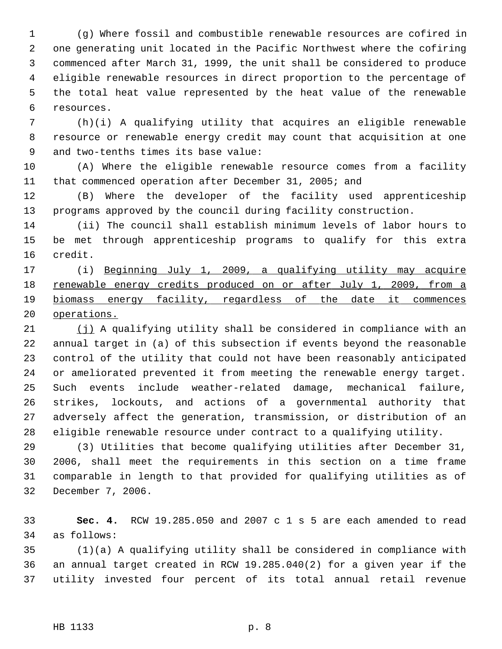1 (g) Where fossil and combustible renewable resources are cofired in 2 one generating unit located in the Pacific Northwest where the cofiring 3 commenced after March 31, 1999, the unit shall be considered to produce 4 eligible renewable resources in direct proportion to the percentage of 5 the total heat value represented by the heat value of the renewable 6 resources.

 7 (h)(i) A qualifying utility that acquires an eligible renewable 8 resource or renewable energy credit may count that acquisition at one 9 and two-tenths times its base value:

10 (A) Where the eligible renewable resource comes from a facility 11 that commenced operation after December 31, 2005; and

12 (B) Where the developer of the facility used apprenticeship 13 programs approved by the council during facility construction.

14 (ii) The council shall establish minimum levels of labor hours to 15 be met through apprenticeship programs to qualify for this extra 16 credit.

17 (i) Beginning July 1, 2009, a qualifying utility may acquire renewable energy credits produced on or after July 1, 2009, from a biomass energy facility, regardless of the date it commences operations.

21 (j) A qualifying utility shall be considered in compliance with an 22 annual target in (a) of this subsection if events beyond the reasonable 23 control of the utility that could not have been reasonably anticipated 24 or ameliorated prevented it from meeting the renewable energy target. 25 Such events include weather-related damage, mechanical failure, 26 strikes, lockouts, and actions of a governmental authority that 27 adversely affect the generation, transmission, or distribution of an 28 eligible renewable resource under contract to a qualifying utility.

29 (3) Utilities that become qualifying utilities after December 31, 30 2006, shall meet the requirements in this section on a time frame 31 comparable in length to that provided for qualifying utilities as of 32 December 7, 2006.

33 **Sec. 4.** RCW 19.285.050 and 2007 c 1 s 5 are each amended to read 34 as follows:

35 (1)(a) A qualifying utility shall be considered in compliance with 36 an annual target created in RCW 19.285.040(2) for a given year if the 37 utility invested four percent of its total annual retail revenue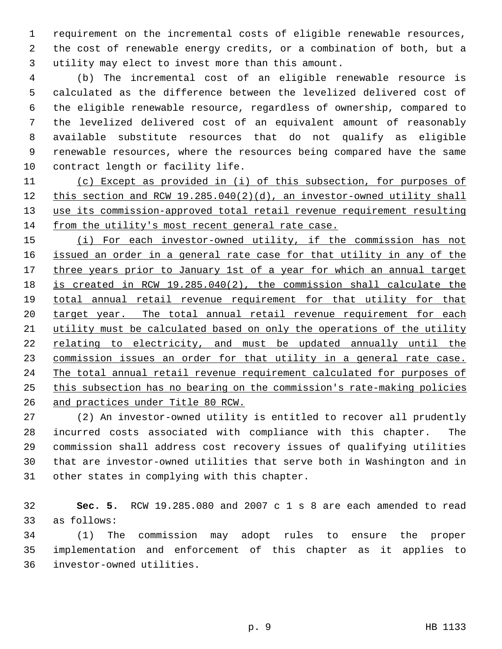1 requirement on the incremental costs of eligible renewable resources, 2 the cost of renewable energy credits, or a combination of both, but a 3 utility may elect to invest more than this amount.

 4 (b) The incremental cost of an eligible renewable resource is 5 calculated as the difference between the levelized delivered cost of 6 the eligible renewable resource, regardless of ownership, compared to 7 the levelized delivered cost of an equivalent amount of reasonably 8 available substitute resources that do not qualify as eligible 9 renewable resources, where the resources being compared have the same 10 contract length or facility life.

 (c) Except as provided in (i) of this subsection, for purposes of this section and RCW 19.285.040(2)(d), an investor-owned utility shall use its commission-approved total retail revenue requirement resulting from the utility's most recent general rate case.

 (i) For each investor-owned utility, if the commission has not issued an order in a general rate case for that utility in any of the 17 three years prior to January 1st of a year for which an annual target is created in RCW 19.285.040(2), the commission shall calculate the total annual retail revenue requirement for that utility for that 20 target year. The total annual retail revenue requirement for each utility must be calculated based on only the operations of the utility relating to electricity, and must be updated annually until the commission issues an order for that utility in a general rate case. The total annual retail revenue requirement calculated for purposes of this subsection has no bearing on the commission's rate-making policies and practices under Title 80 RCW.

27 (2) An investor-owned utility is entitled to recover all prudently 28 incurred costs associated with compliance with this chapter. The 29 commission shall address cost recovery issues of qualifying utilities 30 that are investor-owned utilities that serve both in Washington and in 31 other states in complying with this chapter.

32 **Sec. 5.** RCW 19.285.080 and 2007 c 1 s 8 are each amended to read 33 as follows:

34 (1) The commission may adopt rules to ensure the proper 35 implementation and enforcement of this chapter as it applies to 36 investor-owned utilities.